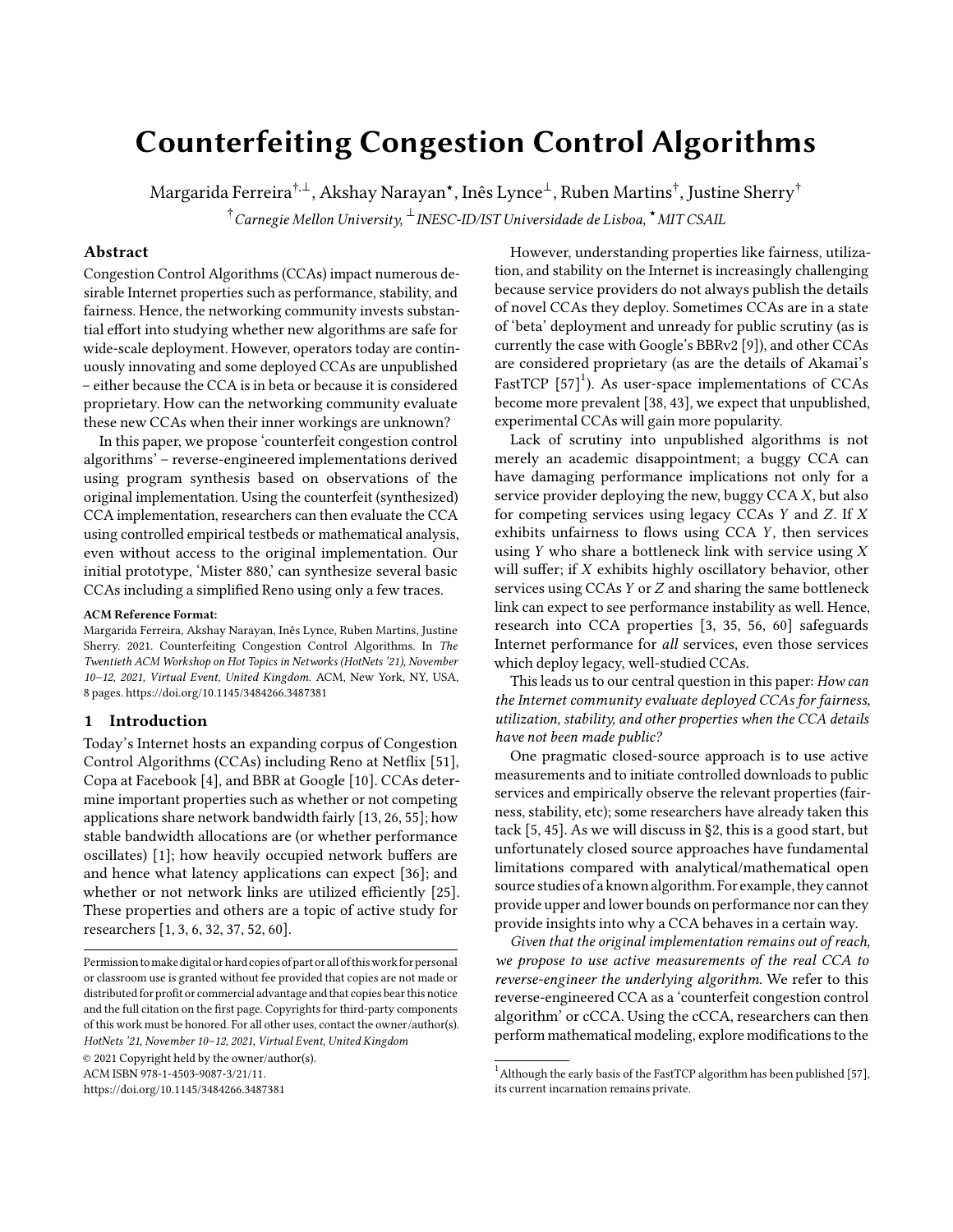# Counterfeiting Congestion Control Algorithms

Margarida Ferreira $^{\dagger,\perp}$ , Akshay Narayan $^\star$ , Inês Lynce $^\perp$ , Ruben Martins $^\dagger$ , Justine Sherry $^\dagger$ 

 $^\dagger$ Carnegie Mellon University,  $^\perp$ INESC-ID/IST Universidade de Lisboa,  $^\star$ MIT CSAIL

# Abstract

Congestion Control Algorithms (CCAs) impact numerous desirable Internet properties such as performance, stability, and fairness. Hence, the networking community invests substantial effort into studying whether new algorithms are safe for wide-scale deployment. However, operators today are continuously innovating and some deployed CCAs are unpublished – either because the CCA is in beta or because it is considered proprietary. How can the networking community evaluate these new CCAs when their inner workings are unknown?

In this paper, we propose 'counterfeit congestion control algorithms' – reverse-engineered implementations derived using program synthesis based on observations of the original implementation. Using the counterfeit (synthesized) CCA implementation, researchers can then evaluate the CCA using controlled empirical testbeds or mathematical analysis, even without access to the original implementation. Our initial prototype, 'Mister 880,' can synthesize several basic CCAs including a simplified Reno using only a few traces.

## ACM Reference Format:

Margarida Ferreira, Akshay Narayan, Inês Lynce, Ruben Martins, Justine Sherry. 2021. Counterfeiting Congestion Control Algorithms. In The Twentieth ACM Workshop on Hot Topics in Networks (HotNets '21), November 10–12, 2021, Virtual Event, United Kingdom. ACM, New York, NY, USA, [8](#page-7-0) pages.<https://doi.org/10.1145/3484266.3487381>

# <span id="page-0-1"></span>1 Introduction

Today's Internet hosts an expanding corpus of Congestion Control Algorithms (CCAs) including Reno at Netflix [\[51\]](#page-7-1), Copa at Facebook [\[4\]](#page-6-0), and BBR at Google [\[10\]](#page-6-1). CCAs determine important properties such as whether or not competing applications share network bandwidth fairly [\[13,](#page-6-2) [26,](#page-6-3) [55\]](#page-7-2); how stable bandwidth allocations are (or whether performance oscillates) [\[1\]](#page-6-4); how heavily occupied network buffers are and hence what latency applications can expect [\[36\]](#page-6-5); and whether or not network links are utilized efficiently [\[25\]](#page-6-6). These properties and others are a topic of active study for researchers [\[1,](#page-6-4) [3,](#page-6-7) [6,](#page-6-8) [32,](#page-6-9) [37,](#page-6-10) [52,](#page-7-3) [60\]](#page-7-4).

ACM ISBN 978-1-4503-9087-3/21/11.

<https://doi.org/10.1145/3484266.3487381>

However, understanding properties like fairness, utilization, and stability on the Internet is increasingly challenging because service providers do not always publish the details of novel CCAs they deploy. Sometimes CCAs are in a state of 'beta' deployment and unready for public scrutiny (as is currently the case with Google's BBRv2 [\[9\]](#page-6-11)), and other CCAs are considered proprietary (as are the details of Akamai's FastTCP [\[57\]](#page-7-5) $^1$  $^1$ ). As user-space implementations of CCAs become more prevalent [\[38,](#page-6-12) [43\]](#page-6-13), we expect that unpublished, experimental CCAs will gain more popularity.

Lack of scrutiny into unpublished algorithms is not merely an academic disappointment; a buggy CCA can have damaging performance implications not only for a service provider deploying the new, buggy  $CCAX$ , but also for competing services using legacy CCAs  $Y$  and  $Z$ . If  $X$ exhibits unfairness to flows using  $CCA$   $Y$ , then services using  $Y$  who share a bottleneck link with service using  $X$ will suffer; if  $X$  exhibits highly oscillatory behavior, other services using CCAs  $Y$  or  $Z$  and sharing the same bottleneck link can expect to see performance instability as well. Hence, research into CCA properties [\[3,](#page-6-7) [35,](#page-6-14) [56,](#page-7-6) [60\]](#page-7-4) safeguards Internet performance for all services, even those services which deploy legacy, well-studied CCAs.

This leads us to our central question in this paper: How can the Internet community evaluate deployed CCAs for fairness, utilization, stability, and other properties when the CCA details have not been made public?

One pragmatic closed-source approach is to use active measurements and to initiate controlled downloads to public services and empirically observe the relevant properties (fairness, stability, etc); some researchers have already taken this tack [\[5,](#page-6-15) [45\]](#page-6-16). As we will discuss in [§2,](#page-1-0) this is a good start, but unfortunately closed source approaches have fundamental limitations compared with analytical/mathematical open source studies of a known algorithm. For example, they cannot provide upper and lower bounds on performance nor can they provide insights into why a CCA behaves in a certain way.

Given that the original implementation remains out of reach, we propose to use active measurements of the real CCA to reverse-engineer the underlying algorithm. We refer to this reverse-engineered CCA as a 'counterfeit congestion control algorithm' or cCCA. Using the cCCA, researchers can then perform mathematical modeling, explore modifications to the

Permission tomake digital or hard copies of part or all of thiswork for personal or classroom use is granted without fee provided that copies are not made or distributed for profit or commercial advantage and that copies bear this notice and the full citation on the first page. Copyrights for third-party components of this work must be honored. For all other uses, contact the owner/author(s). HotNets '21, November 10–12, 2021, Virtual Event, United Kingdom © 2021 Copyright held by the owner/author(s).

<span id="page-0-0"></span> $^{\rm 1}$  Although the early basis of the FastTCP algorithm has been published [\[57\]](#page-7-5), its current incarnation remains private.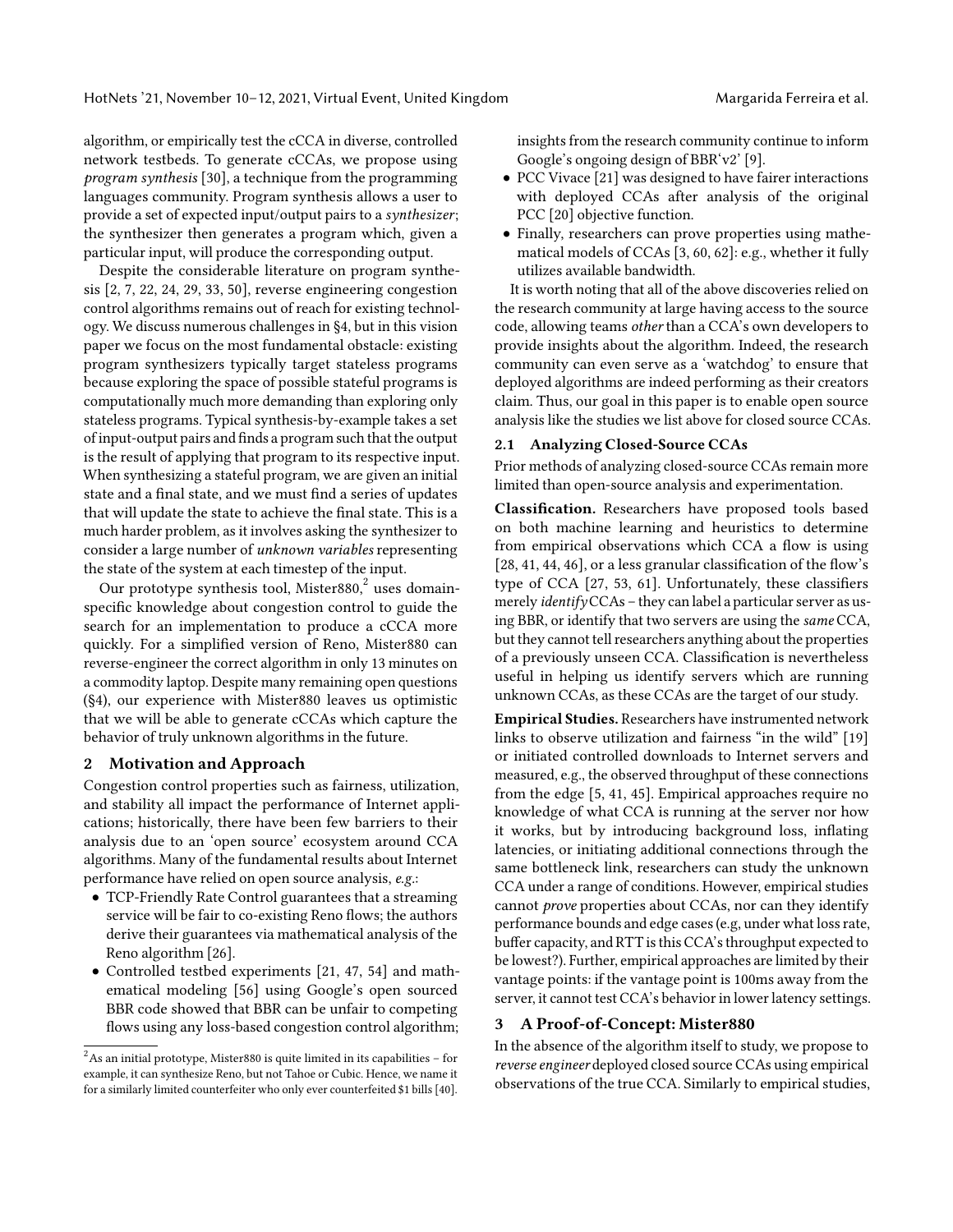algorithm, or empirically test the cCCA in diverse, controlled network testbeds. To generate cCCAs, we propose using program synthesis [\[30\]](#page-6-17), a technique from the programming languages community. Program synthesis allows a user to provide a set of expected input/output pairs to a synthesizer; the synthesizer then generates a program which, given a particular input, will produce the corresponding output.

Despite the considerable literature on program synthesis [\[2,](#page-6-18) [7,](#page-6-19) [22,](#page-6-20) [24,](#page-6-21) [29,](#page-6-22) [33,](#page-6-23) [50\]](#page-7-7), reverse engineering congestion control algorithms remains out of reach for existing technology. We discuss numerous challenges in [§4,](#page-5-0) but in this vision paper we focus on the most fundamental obstacle: existing program synthesizers typically target stateless programs because exploring the space of possible stateful programs is computationally much more demanding than exploring only stateless programs. Typical synthesis-by-example takes a set of input-output pairs and finds a program such that the output is the result of applying that program to its respective input. When synthesizing a stateful program, we are given an initial state and a final state, and we must find a series of updates that will update the state to achieve the final state. This is a much harder problem, as it involves asking the synthesizer to consider a large number of unknown variables representing the state of the system at each timestep of the input.

Our prototype synthesis tool, Mister $880,^2$  $880,^2$  uses domainspecific knowledge about congestion control to guide the search for an implementation to produce a cCCA more quickly. For a simplified version of Reno, Mister880 can reverse-engineer the correct algorithm in only 13 minutes on a commodity laptop. Despite many remaining open questions ([§4\)](#page-5-0), our experience with Mister880 leaves us optimistic that we will be able to generate cCCAs which capture the behavior of truly unknown algorithms in the future.

## <span id="page-1-0"></span>2 Motivation and Approach

Congestion control properties such as fairness, utilization, and stability all impact the performance of Internet applications; historically, there have been few barriers to their analysis due to an 'open source' ecosystem around CCA algorithms. Many of the fundamental results about Internet performance have relied on open source analysis, e.g.:

- TCP-Friendly Rate Control guarantees that a streaming service will be fair to co-existing Reno flows; the authors derive their guarantees via mathematical analysis of the Reno algorithm [\[26\]](#page-6-3).
- Controlled testbed experiments [\[21,](#page-6-24) [47,](#page-7-8) [54\]](#page-7-9) and mathematical modeling [\[56\]](#page-7-6) using Google's open sourced BBR code showed that BBR can be unfair to competing flows using any loss-based congestion control algorithm;

insights from the research community continue to inform Google's ongoing design of BBR'v2' [\[9\]](#page-6-11).

- PCC Vivace [\[21\]](#page-6-24) was designed to have fairer interactions with deployed CCAs after analysis of the original PCC [\[20\]](#page-6-26) objective function.
- Finally, researchers can prove properties using mathematical models of CCAs [\[3,](#page-6-7) [60,](#page-7-4) [62\]](#page-7-10): e.g., whether it fully utilizes available bandwidth.

It is worth noting that all of the above discoveries relied on the research community at large having access to the source code, allowing teams other than a CCA's own developers to provide insights about the algorithm. Indeed, the research community can even serve as a 'watchdog' to ensure that deployed algorithms are indeed performing as their creators claim. Thus, our goal in this paper is to enable open source analysis like the studies we list above for closed source CCAs.

# <span id="page-1-2"></span>2.1 Analyzing Closed-Source CCAs

Prior methods of analyzing closed-source CCAs remain more limited than open-source analysis and experimentation.

Classification. Researchers have proposed tools based on both machine learning and heuristics to determine from empirical observations which CCA a flow is using [\[28,](#page-6-27) [41,](#page-6-28) [44,](#page-6-29) [46\]](#page-6-30), or a less granular classification of the flow's type of CCA [\[27,](#page-6-31) [53,](#page-7-11) [61\]](#page-7-12). Unfortunately, these classifiers merely *identify* CCAs – they can label a particular server as using BBR, or identify that two servers are using the same CCA, but they cannot tell researchers anything about the properties of a previously unseen CCA. Classification is nevertheless useful in helping us identify servers which are running unknown CCAs, as these CCAs are the target of our study.

Empirical Studies. Researchers have instrumented network links to observe utilization and fairness "in the wild" [\[19\]](#page-6-32) or initiated controlled downloads to Internet servers and measured, e.g., the observed throughput of these connections from the edge [\[5,](#page-6-15) [41,](#page-6-28) [45\]](#page-6-16). Empirical approaches require no knowledge of what CCA is running at the server nor how it works, but by introducing background loss, inflating latencies, or initiating additional connections through the same bottleneck link, researchers can study the unknown CCA under a range of conditions. However, empirical studies cannot prove properties about CCAs, nor can they identify performance bounds and edge cases (e.g, under what loss rate, buffer capacity, and RTT is this CCA's throughput expected to be lowest?). Further, empirical approaches are limited by their vantage points: if the vantage point is 100ms away from the server, it cannot test CCA's behavior in lower latency settings.

# <span id="page-1-3"></span>3 A Proof-of-Concept: Mister880

In the absence of the algorithm itself to study, we propose to reverse engineer deployed closed source CCAs using empirical observations of the true CCA. Similarly to empirical studies,

<span id="page-1-1"></span> $^{2}\mathrm{As}$  an initial prototype, Mister<br>880 is quite limited in its capabilities – for example, it can synthesize Reno, but not Tahoe or Cubic. Hence, we name it for a similarly limited counterfeiter who only ever counterfeited \$1 bills [\[40\]](#page-6-25).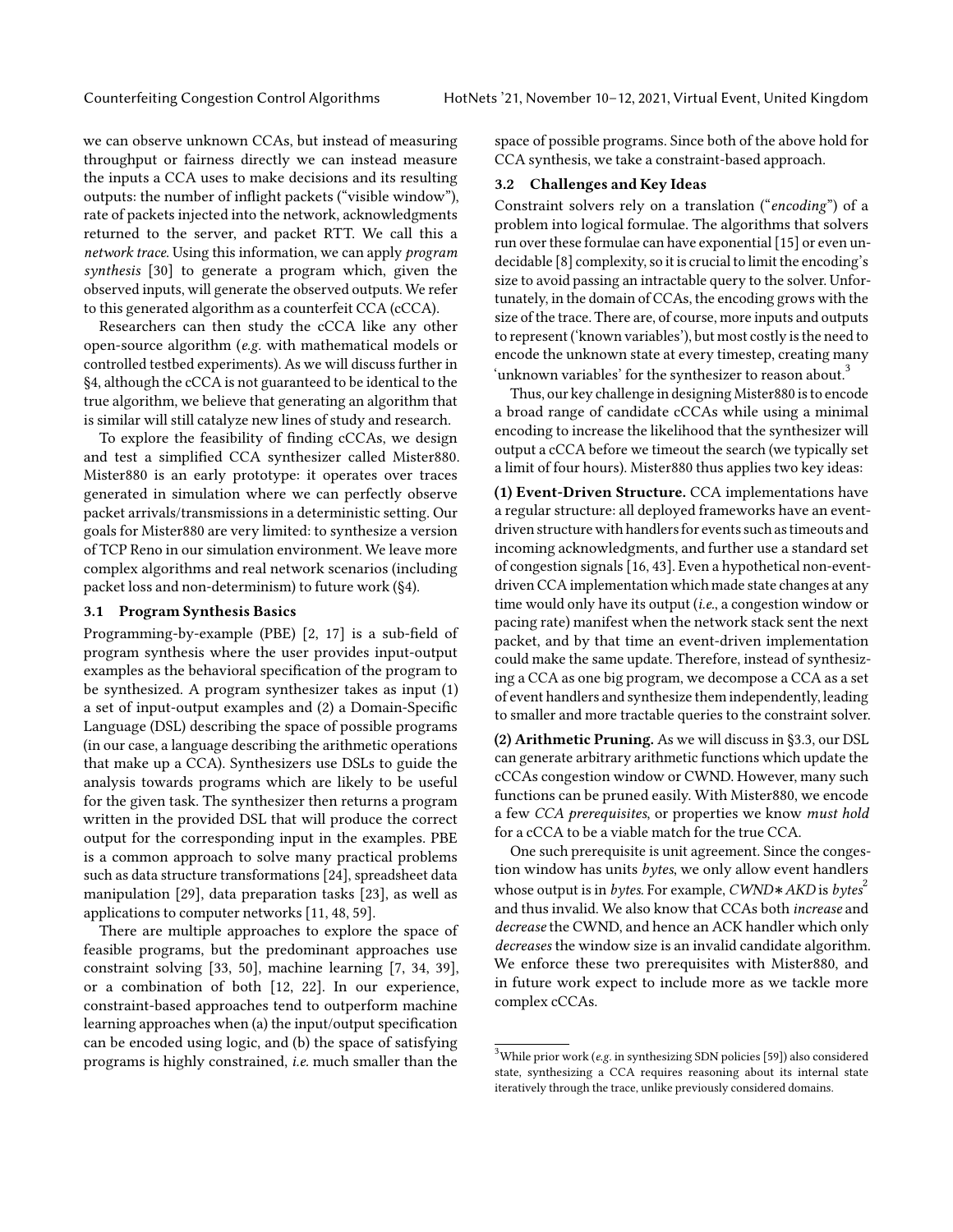we can observe unknown CCAs, but instead of measuring throughput or fairness directly we can instead measure the inputs a CCA uses to make decisions and its resulting outputs: the number of inflight packets ("visible window"), rate of packets injected into the network, acknowledgments returned to the server, and packet RTT. We call this a network trace. Using this information, we can apply program synthesis [\[30\]](#page-6-17) to generate a program which, given the observed inputs, will generate the observed outputs. We refer to this generated algorithm as a counterfeit CCA (cCCA).

Researchers can then study the cCCA like any other open-source algorithm (e.g. with mathematical models or controlled testbed experiments). As we will discuss further in [§4,](#page-5-0) although the cCCA is not guaranteed to be identical to the true algorithm, we believe that generating an algorithm that is similar will still catalyze new lines of study and research.

To explore the feasibility of finding cCCAs, we design and test a simplified CCA synthesizer called Mister880. Mister880 is an early prototype: it operates over traces generated in simulation where we can perfectly observe packet arrivals/transmissions in a deterministic setting. Our goals for Mister880 are very limited: to synthesize a version of TCP Reno in our simulation environment. We leave more complex algorithms and real network scenarios (including packet loss and non-determinism) to future work ([§4\)](#page-5-0).

## <span id="page-2-2"></span>3.1 Program Synthesis Basics

Programming-by-example (PBE) [\[2,](#page-6-18) [17\]](#page-6-33) is a sub-field of program synthesis where the user provides input-output examples as the behavioral specification of the program to be synthesized. A program synthesizer takes as input (1) a set of input-output examples and (2) a Domain-Specific Language (DSL) describing the space of possible programs (in our case, a language describing the arithmetic operations that make up a CCA). Synthesizers use DSLs to guide the analysis towards programs which are likely to be useful for the given task. The synthesizer then returns a program written in the provided DSL that will produce the correct output for the corresponding input in the examples. PBE is a common approach to solve many practical problems such as data structure transformations [\[24\]](#page-6-21), spreadsheet data manipulation [\[29\]](#page-6-22), data preparation tasks [\[23\]](#page-6-34), as well as applications to computer networks [\[11,](#page-6-35) [48,](#page-7-13) [59\]](#page-7-14).

There are multiple approaches to explore the space of feasible programs, but the predominant approaches use constraint solving [\[33,](#page-6-23) [50\]](#page-7-7), machine learning [\[7,](#page-6-19) [34,](#page-6-36) [39\]](#page-6-37), or a combination of both [\[12,](#page-6-38) [22\]](#page-6-20). In our experience, constraint-based approaches tend to outperform machine learning approaches when (a) the input/output specification can be encoded using logic, and (b) the space of satisfying programs is highly constrained, i.e. much smaller than the

space of possible programs. Since both of the above hold for CCA synthesis, we take a constraint-based approach.

# <span id="page-2-3"></span>3.2 Challenges and Key Ideas

Constraint solvers rely on a translation ("encoding") of a problem into logical formulae. The algorithms that solvers run over these formulae can have exponential [\[15\]](#page-6-39) or even undecidable [\[8\]](#page-6-40) complexity, so it is crucial to limit the encoding's size to avoid passing an intractable query to the solver. Unfortunately, in the domain of CCAs, the encoding grows with the size of the trace. There are, of course, more inputs and outputs to represent ('known variables'), but most costly is the need to encode the unknown state at every timestep, creating many 'unknown variables' for the synthesizer to reason about.<sup>[3](#page-2-0)</sup>

Thus, our key challenge in designing Mister880 is to encode a broad range of candidate cCCAs while using a minimal encoding to increase the likelihood that the synthesizer will output a cCCA before we timeout the search (we typically set a limit of four hours). Mister880 thus applies two key ideas:

(1) Event-Driven Structure. CCA implementations have a regular structure: all deployed frameworks have an eventdriven structure with handlers for events such as timeouts and incoming acknowledgments, and further use a standard set of congestion signals [\[16,](#page-6-41) [43\]](#page-6-13). Even a hypothetical non-eventdriven CCA implementation which made state changes at any time would only have its output *(i.e.*, a congestion window or pacing rate) manifest when the network stack sent the next packet, and by that time an event-driven implementation could make the same update. Therefore, instead of synthesizing a CCA as one big program, we decompose a CCA as a set of event handlers and synthesize them independently, leading to smaller and more tractable queries to the constraint solver.

(2) Arithmetic Pruning. As we will discuss in [§3.3,](#page-2-1) our DSL can generate arbitrary arithmetic functions which update the cCCAs congestion window or CWND. However, many such functions can be pruned easily. With Mister880, we encode a few CCA prerequisites, or properties we know must hold for a cCCA to be a viable match for the true CCA.

One such prerequisite is unit agreement. Since the congestion window has units bytes, we only allow event handlers whose output is in *bytes*. For example,  $CWND*AKD$  is *bytes*<sup>2</sup> and thus invalid. We also know that CCAs both increase and decrease the CWND, and hence an ACK handler which only decreases the window size is an invalid candidate algorithm. We enforce these two prerequisites with Mister880, and in future work expect to include more as we tackle more complex cCCAs.

<span id="page-2-1"></span><span id="page-2-0"></span> $3$ While prior work (e.g. in synthesizing SDN policies [\[59\]](#page-7-14)) also considered state, synthesizing a CCA requires reasoning about its internal state iteratively through the trace, unlike previously considered domains.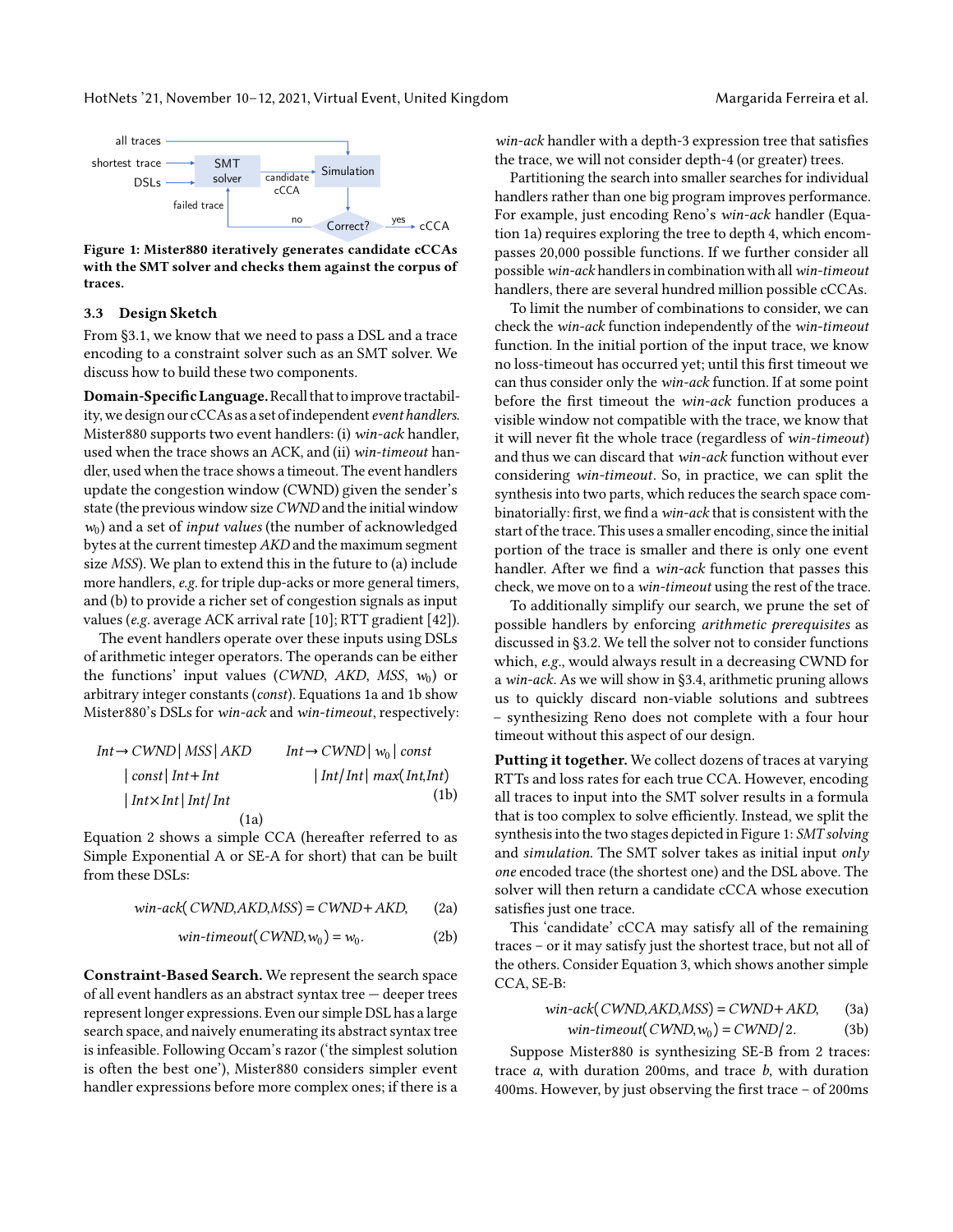HotNets '21, November 10–12, 2021, Virtual Event, United Kingdom Margarida Ferreira et al.

<span id="page-3-3"></span>

Figure 1: Mister880 iteratively generates candidate cCCAs with the SMT solver and checks them against the corpus of traces.

## 3.3 Design Sketch

From [§3.1,](#page-2-2) we know that we need to pass a DSL and a trace encoding to a constraint solver such as an SMT solver. We discuss how to build these two components.

Domain-Specific Language. Recall that to improve tractability, we design our cCCAs as a set of independent event handlers. Mister880 supports two event handlers: (i) win-ack handler, used when the trace shows an ACK, and (ii) win-timeout handler, used when the trace shows a timeout. The event handlers update the congestion window (CWND) given the sender's state (the previous window size *CWND* and the initial window  $w_0$ ) and a set of *input values* (the number of acknowledged bytes at the current timestep AKD and the maximum segment size MSS). We plan to extend this in the future to (a) include more handlers, e.g. for triple dup-acks or more general timers, and (b) to provide a richer set of congestion signals as input values (e.g. average ACK arrival rate [\[10\]](#page-6-1); RTT gradient [\[42\]](#page-6-42)).

The event handlers operate over these inputs using DSLs of arithmetic integer operators. The operands can be either the functions' input values (CWND, AKD, MSS,  $w_0$ ) or arbitrary integer constants (const). Equations [1a](#page-3-0) and [1b](#page-3-1) show Mister880's DSLs for win-ack and win-timeout, respectively:

| $Int \rightarrow CWND$   MSS   AKD                 | $Int \rightarrow CWND \mid w_0 \mid const$                  |
|----------------------------------------------------|-------------------------------------------------------------|
| $\vert \text{const} \vert \text{Int} + \text{Int}$ | $\vert Int/\vert Int \vert max(\vert Int, \vert Int) \vert$ |
| $\vert Int \times Int \vert Int / Int$             | (1b)                                                        |
| (1a)                                               |                                                             |

[Equation 2](#page-3-2) shows a simple CCA (hereafter referred to as Simple Exponential A or SE-A for short) that can be built from these DSLs:

$$
win-ack(CWND, AKD, MSS) = CWND + AKD, \qquad (2a)
$$

<span id="page-3-2"></span><span id="page-3-0"></span>
$$
win\text{-}timeout(CWND, w_0) = w_0. \tag{2b}
$$

Constraint-Based Search. We represent the search space of all event handlers as an abstract syntax tree — deeper trees represent longer expressions. Even our simple DSL has a large search space, and naively enumerating its abstract syntax tree is infeasible. Following Occam's razor ('the simplest solution is often the best one'), Mister880 considers simpler event handler expressions before more complex ones; if there is a win-ack handler with a depth-3 expression tree that satisfies the trace, we will not consider depth-4 (or greater) trees.

Partitioning the search into smaller searches for individual handlers rather than one big program improves performance. For example, just encoding Reno's win-ack handler [\(Equa](#page-3-0)[tion 1a\)](#page-3-0) requires exploring the tree to depth 4, which encompasses 20,000 possible functions. If we further consider all possible win-ack handlers in combination with all win-timeout handlers, there are several hundred million possible cCCAs.

<span id="page-3-5"></span>To limit the number of combinations to consider, we can check the win-ack function independently of the win-timeout function. In the initial portion of the input trace, we know no loss-timeout has occurred yet; until this first timeout we can thus consider only the win-ack function. If at some point before the first timeout the win-ack function produces a visible window not compatible with the trace, we know that it will never fit the whole trace (regardless of win-timeout) and thus we can discard that win-ack function without ever considering win-timeout. So, in practice, we can split the synthesis into two parts, which reduces the search space combinatorially: first, we find a win-ack that is consistent with the start of the trace. This uses a smaller encoding, since the initial portion of the trace is smaller and there is only one event handler. After we find a win-ack function that passes this check, we move on to a win-timeout using the rest of the trace.

To additionally simplify our search, we prune the set of possible handlers by enforcing arithmetic prerequisites as discussed in [§3.2.](#page-2-3) We tell the solver not to consider functions which, e.g., would always result in a decreasing CWND for a win-ack. As we will show in [§3.4,](#page-4-0) arithmetic pruning allows us to quickly discard non-viable solutions and subtrees – synthesizing Reno does not complete with a four hour timeout without this aspect of our design.

<span id="page-3-1"></span>Putting it together. We collect dozens of traces at varying RTTs and loss rates for each true CCA. However, encoding all traces to input into the SMT solver results in a formula that is too complex to solve efficiently. Instead, we split the synthesis into the two stages depicted in [Figure 1:](#page-3-3) SMT solving and simulation. The SMT solver takes as initial input only one encoded trace (the shortest one) and the DSL above. The solver will then return a candidate cCCA whose execution satisfies just one trace.

This 'candidate' cCCA may satisfy all of the remaining traces – or it may satisfy just the shortest trace, but not all of the others. Consider [Equation 3,](#page-3-4) which shows another simple CCA, SE-B:

<span id="page-3-4"></span>
$$
win-ack(CWND,AKD, MSS) = CWND + AKD,
$$
 (3a)

$$
win\text{-}timeout(CWND, w_0) = CWND/2. \tag{3b}
$$

Suppose Mister880 is synthesizing SE-B from 2 traces: trace  $a$ , with duration 200ms, and trace  $b$ , with duration 400ms. However, by just observing the first trace – of 200ms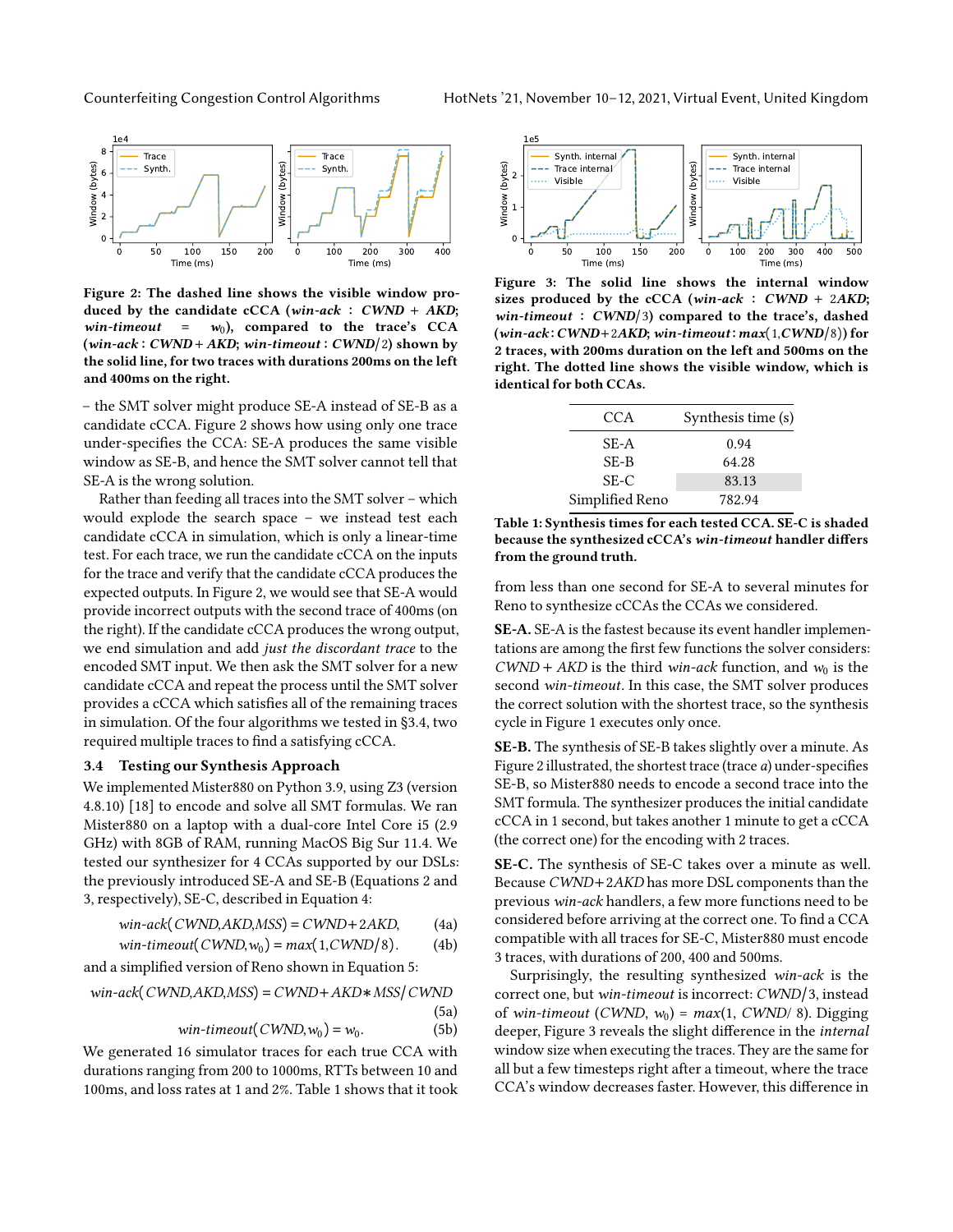<span id="page-4-1"></span>

Figure 2: The dashed line shows the visible window produced by the candidate cCCA (win-ack :  $CWND + AKD$ ; win-timeout =  $w_0$ ), compared to the trace's CCA  $(win-ack : CWND + AKD; win-timeout : CWND/2)$  shown by the solid line, for two traces with durations 200ms on the left and 400ms on the right.

– the SMT solver might produce SE-A instead of SE-B as a candidate cCCA. [Figure 2](#page-4-1) shows how using only one trace under-specifies the CCA: SE-A produces the same visible window as SE-B, and hence the SMT solver cannot tell that SE-A is the wrong solution.

Rather than feeding all traces into the SMT solver – which would explode the search space – we instead test each candidate cCCA in simulation, which is only a linear-time test. For each trace, we run the candidate cCCA on the inputs for the trace and verify that the candidate cCCA produces the expected outputs. In [Figure 2,](#page-4-1) we would see that SE-A would provide incorrect outputs with the second trace of 400ms (on the right). If the candidate cCCA produces the wrong output, we end simulation and add just the discordant trace to the encoded SMT input. We then ask the SMT solver for a new candidate cCCA and repeat the process until the SMT solver provides a cCCA which satisfies all of the remaining traces in simulation. Of the four algorithms we tested in [§3.4,](#page-4-0) two required multiple traces to find a satisfying cCCA.

#### <span id="page-4-0"></span>3.4 Testing our Synthesis Approach

We implemented Mister880 on Python 3.9, using Z3 (version 4.8.10) [\[18\]](#page-6-43) to encode and solve all SMT formulas. We ran Mister880 on a laptop with a dual-core Intel Core i5 (2.9 GHz) with 8GB of RAM, running MacOS Big Sur 11.4. We tested our synthesizer for 4 CCAs supported by our DSLs: the previously introduced SE-A and SE-B (Equations [2](#page-3-2) and [3,](#page-3-4) respectively), SE-C, described in [Equation 4:](#page-4-2)

$$
win-ack(CWND,AKD, MSS) = CWND + 2AKD,
$$
 (4a)

$$
win\text{-}timeout(CWND, w_0) = max(1, CWND/8). \tag{4b}
$$

and a simplified version of Reno shown in [Equation 5:](#page-4-3)

$$
win-ack(CWND,AKD,MSS) = CWND + AKD * MSS/CWND
$$
\n(5a)

$$
win-time out(CWND, w_0) = w_0.
$$
 (5b)

We generated 16 simulator traces for each true CCA with durations ranging from 200 to 1000ms, RTTs between 10 and 100ms, and loss rates at 1 and 2%. [Table 1](#page-4-4) shows that it took

<span id="page-4-5"></span>

Figure 3: The solid line shows the internal window sizes produced by the cCCA (win-ack :  $CWND + 2AKD$ ; win-timeout :  $CWND/3$ ) compared to the trace's, dashed  $(win-ack: CWND+2AKD; win-time out: max(1,CWND/8))$  for 2 traces, with 200ms duration on the left and 500ms on the right. The dotted line shows the visible window, which is identical for both CCAs.

<span id="page-4-4"></span>

| CCA             | Synthesis time (s) |
|-----------------|--------------------|
| SE-A            | 0.94               |
| $SE-B$          | 64.28              |
| SE-C            | 83.13              |
| Simplified Reno | 782.94             |

Table 1: Synthesis times for each tested CCA. SE-C is shaded because the synthesized cCCA's win-timeout handler differs from the ground truth.

from less than one second for SE-A to several minutes for Reno to synthesize cCCAs the CCAs we considered.

SE-A. SE-A is the fastest because its event handler implementations are among the first few functions the solver considers:  $CWND + AKD$  is the third win-ack function, and  $w_0$  is the second win-timeout. In this case, the SMT solver produces the correct solution with the shortest trace, so the synthesis cycle in [Figure 1](#page-3-3) executes only once.

SE-B. The synthesis of SE-B takes slightly over a minute. As [Figure 2](#page-4-1) illustrated, the shortest trace (trace a) under-specifies SE-B, so Mister880 needs to encode a second trace into the SMT formula. The synthesizer produces the initial candidate cCCA in 1 second, but takes another 1 minute to get a cCCA (the correct one) for the encoding with 2 traces.

<span id="page-4-2"></span>SE-C. The synthesis of SE-C takes over a minute as well. Because CWND+2AKD has more DSL components than the previous win-ack handlers, a few more functions need to be considered before arriving at the correct one. To find a CCA compatible with all traces for SE-C, Mister880 must encode 3 traces, with durations of 200, 400 and 500ms.

<span id="page-4-3"></span>Surprisingly, the resulting synthesized win-ack is the correct one, but win-timeout is incorrect: CWND/3, instead of win-timeout (CWND,  $w_0$ ) = max(1, CWND/ 8). Digging deeper, [Figure 3](#page-4-5) reveals the slight difference in the internal window size when executing the traces. They are the same for all but a few timesteps right after a timeout, where the trace CCA's window decreases faster. However, this difference in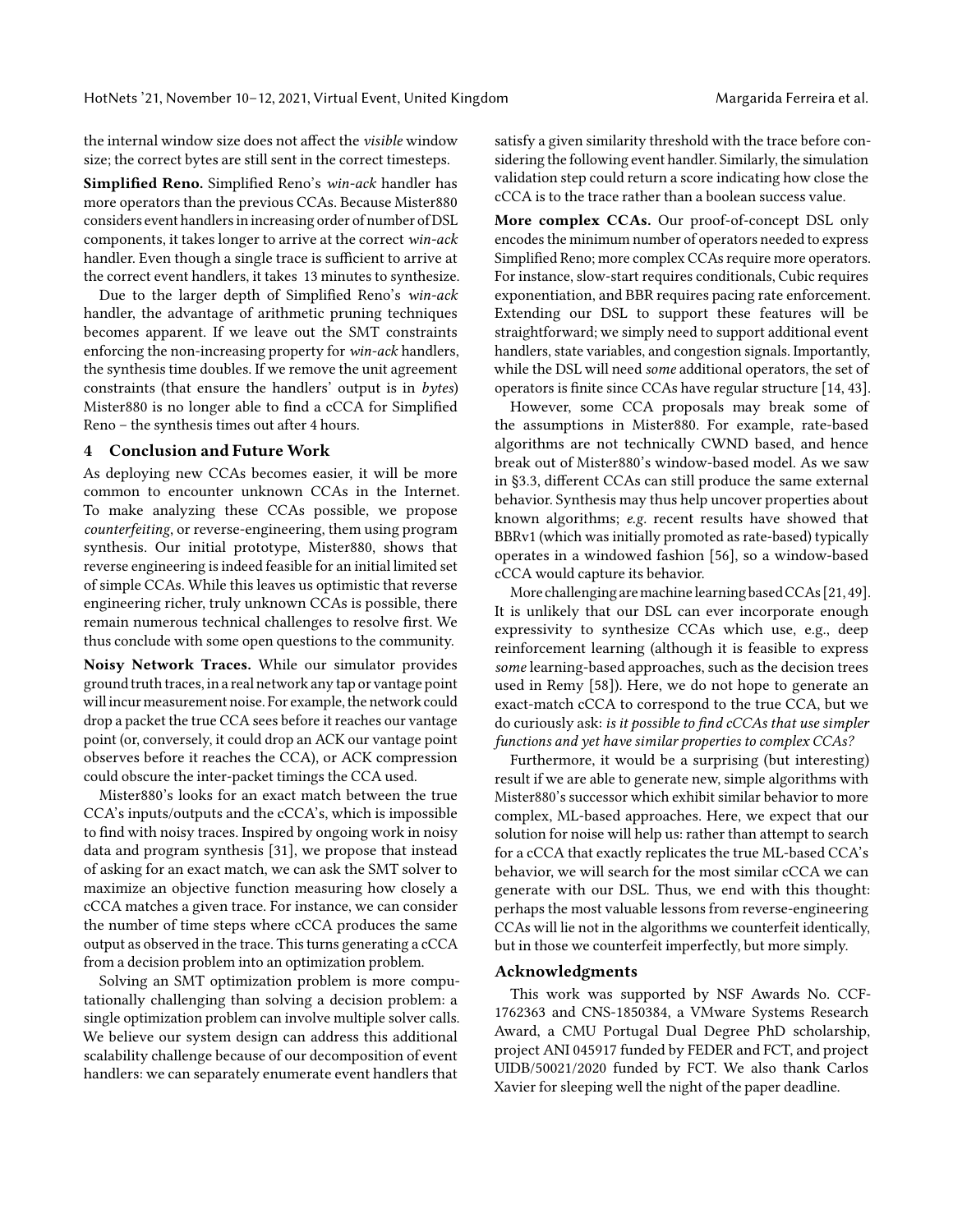the internal window size does not affect the visible window size; the correct bytes are still sent in the correct timesteps.

Simplified Reno. Simplified Reno's win-ack handler has more operators than the previous CCAs. Because Mister880 considers event handlers in increasing order of number of DSL components, it takes longer to arrive at the correct win-ack handler. Even though a single trace is sufficient to arrive at the correct event handlers, it takes 13 minutes to synthesize.

Due to the larger depth of Simplified Reno's win-ack handler, the advantage of arithmetic pruning techniques becomes apparent. If we leave out the SMT constraints enforcing the non-increasing property for win-ack handlers, the synthesis time doubles. If we remove the unit agreement constraints (that ensure the handlers' output is in bytes) Mister880 is no longer able to find a cCCA for Simplified Reno – the synthesis times out after 4 hours.

#### <span id="page-5-0"></span>4 Conclusion and Future Work

As deploying new CCAs becomes easier, it will be more common to encounter unknown CCAs in the Internet. To make analyzing these CCAs possible, we propose counterfeiting, or reverse-engineering, them using program synthesis. Our initial prototype, Mister880, shows that reverse engineering is indeed feasible for an initial limited set of simple CCAs. While this leaves us optimistic that reverse engineering richer, truly unknown CCAs is possible, there remain numerous technical challenges to resolve first. We thus conclude with some open questions to the community.

Noisy Network Traces. While our simulator provides ground truth traces, in a real network any tap or vantage point will incur measurement noise. For example, the network could drop a packet the true CCA sees before it reaches our vantage point (or, conversely, it could drop an ACK our vantage point observes before it reaches the CCA), or ACK compression could obscure the inter-packet timings the CCA used.

Mister880's looks for an exact match between the true CCA's inputs/outputs and the cCCA's, which is impossible to find with noisy traces. Inspired by ongoing work in noisy data and program synthesis [\[31\]](#page-6-44), we propose that instead of asking for an exact match, we can ask the SMT solver to maximize an objective function measuring how closely a cCCA matches a given trace. For instance, we can consider the number of time steps where cCCA produces the same output as observed in the trace. This turns generating a cCCA from a decision problem into an optimization problem.

Solving an SMT optimization problem is more computationally challenging than solving a decision problem: a single optimization problem can involve multiple solver calls. We believe our system design can address this additional scalability challenge because of our decomposition of event handlers: we can separately enumerate event handlers that

satisfy a given similarity threshold with the trace before considering the following event handler. Similarly, the simulation validation step could return a score indicating how close the cCCA is to the trace rather than a boolean success value.

More complex CCAs. Our proof-of-concept DSL only encodes the minimum number of operators needed to express Simplified Reno; more complex CCAs require more operators. For instance, slow-start requires conditionals, Cubic requires exponentiation, and BBR requires pacing rate enforcement. Extending our DSL to support these features will be straightforward; we simply need to support additional event handlers, state variables, and congestion signals. Importantly, while the DSL will need some additional operators, the set of operators is finite since CCAs have regular structure [\[14,](#page-6-45) [43\]](#page-6-13).

However, some CCA proposals may break some of the assumptions in Mister880. For example, rate-based algorithms are not technically CWND based, and hence break out of Mister880's window-based model. As we saw in [§3.3,](#page-2-1) different CCAs can still produce the same external behavior. Synthesis may thus help uncover properties about known algorithms; e.g. recent results have showed that BBRv1 (which was initially promoted as rate-based) typically operates in a windowed fashion [\[56\]](#page-7-6), so a window-based cCCA would capture its behavior.

More challenging aremachinelearningbasedCCAs [\[21,](#page-6-24) [49\]](#page-7-15). It is unlikely that our DSL can ever incorporate enough expressivity to synthesize CCAs which use, e.g., deep reinforcement learning (although it is feasible to express some learning-based approaches, such as the decision trees used in Remy [\[58\]](#page-7-16)). Here, we do not hope to generate an exact-match cCCA to correspond to the true CCA, but we do curiously ask: is it possible to find cCCAs that use simpler functions and yet have similar properties to complex CCAs?

Furthermore, it would be a surprising (but interesting) result if we are able to generate new, simple algorithms with Mister880's successor which exhibit similar behavior to more complex, ML-based approaches. Here, we expect that our solution for noise will help us: rather than attempt to search for a cCCA that exactly replicates the true ML-based CCA's behavior, we will search for the most similar cCCA we can generate with our DSL. Thus, we end with this thought: perhaps the most valuable lessons from reverse-engineering CCAs will lie not in the algorithms we counterfeit identically, but in those we counterfeit imperfectly, but more simply.

# Acknowledgments

This work was supported by NSF Awards No. CCF-1762363 and CNS-1850384, a VMware Systems Research Award, a CMU Portugal Dual Degree PhD scholarship, project ANI 045917 funded by FEDER and FCT, and project UIDB/50021/2020 funded by FCT. We also thank Carlos Xavier for sleeping well the night of the paper deadline.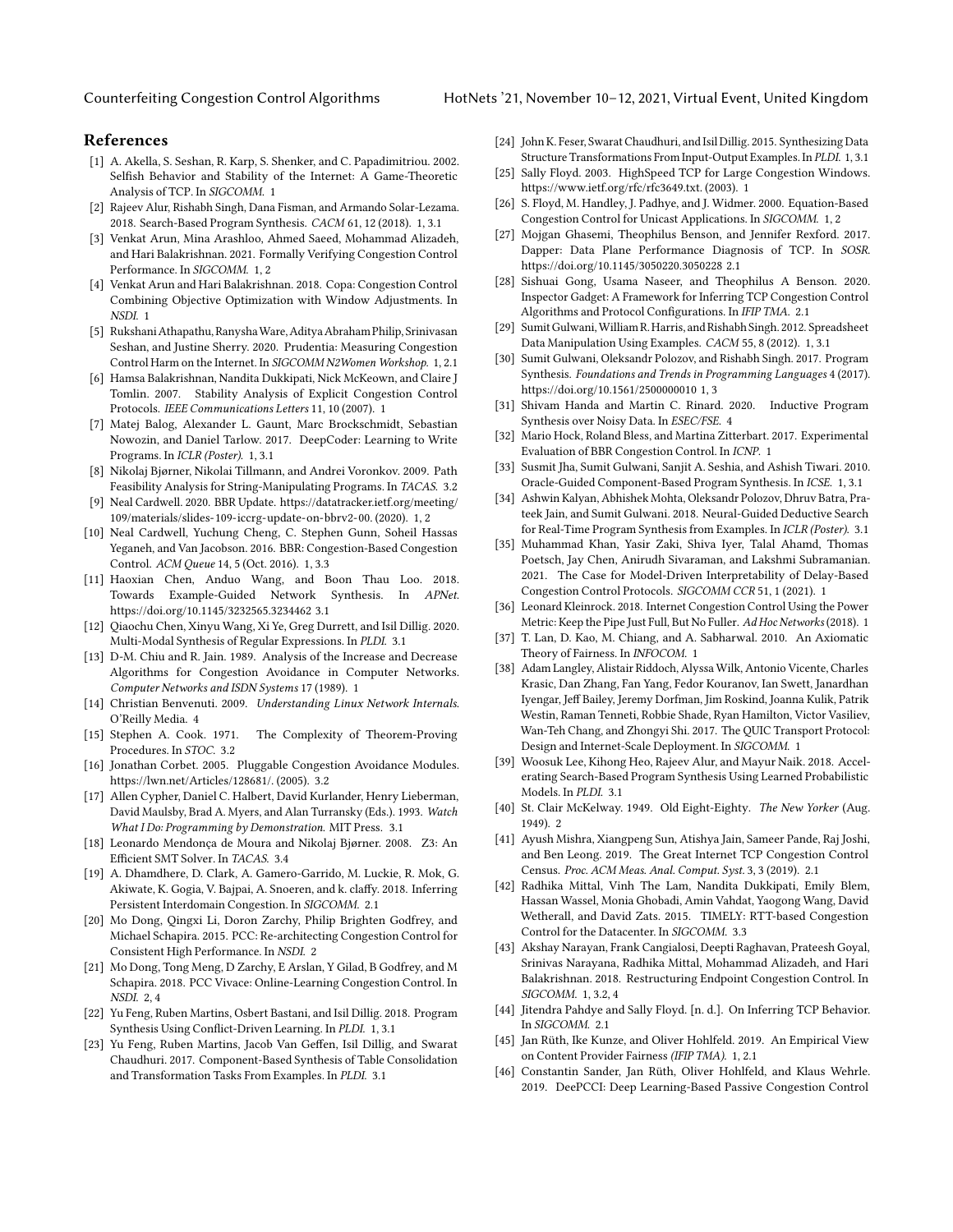## References

- <span id="page-6-4"></span>[1] A. Akella, S. Seshan, R. Karp, S. Shenker, and C. Papadimitriou. 2002. Selfish Behavior and Stability of the Internet: A Game-Theoretic Analysis of TCP. In SIGCOMM. [1](#page-0-1)
- <span id="page-6-18"></span>[2] Rajeev Alur, Rishabh Singh, Dana Fisman, and Armando Solar-Lezama. 2018. Search-Based Program Synthesis. CACM 61, 12 (2018). [1,](#page-0-1) [3.1](#page-2-2)
- <span id="page-6-7"></span>[3] Venkat Arun, Mina Arashloo, Ahmed Saeed, Mohammad Alizadeh, and Hari Balakrishnan. 2021. Formally Verifying Congestion Control Performance. In SIGCOMM. [1,](#page-0-1) [2](#page-1-0)
- <span id="page-6-0"></span>[4] Venkat Arun and Hari Balakrishnan. 2018. Copa: Congestion Control Combining Objective Optimization with Window Adjustments. In NSDI. [1](#page-0-1)
- <span id="page-6-15"></span>[5] RukshaniAthapathu, RanyshaWare,AdityaAbraham Philip,Srinivasan Seshan, and Justine Sherry. 2020. Prudentia: Measuring Congestion Control Harm on the Internet. In SIGCOMM N2Women Workshop. [1,](#page-0-1) [2.1](#page-1-2)
- <span id="page-6-8"></span>[6] Hamsa Balakrishnan, Nandita Dukkipati, Nick McKeown, and Claire J Tomlin. 2007. Stability Analysis of Explicit Congestion Control Protocols. IEEE Communications Letters 11, 10 (2007). [1](#page-0-1)
- <span id="page-6-19"></span>[7] Matej Balog, Alexander L. Gaunt, Marc Brockschmidt, Sebastian Nowozin, and Daniel Tarlow. 2017. DeepCoder: Learning to Write Programs. In ICLR (Poster). [1,](#page-0-1) [3.1](#page-2-2)
- <span id="page-6-40"></span>[8] Nikolaj Bjørner, Nikolai Tillmann, and Andrei Voronkov. 2009. Path Feasibility Analysis for String-Manipulating Programs. In TACAS. [3.2](#page-2-3)
- <span id="page-6-11"></span>[9] Neal Cardwell. 2020. BBR Update. [https://datatracker.ietf.org/meeting/](https://datatracker.ietf.org/meeting/109/materials/slides-109-iccrg-update-on-bbrv2-00) [109/materials/slides-109-iccrg-update-on-bbrv2-00.](https://datatracker.ietf.org/meeting/109/materials/slides-109-iccrg-update-on-bbrv2-00) (2020). [1,](#page-0-1) [2](#page-1-0)
- <span id="page-6-1"></span>[10] Neal Cardwell, Yuchung Cheng, C. Stephen Gunn, Soheil Hassas Yeganeh, and Van Jacobson. 2016. BBR: Congestion-Based Congestion Control. ACM Queue 14, 5 (Oct. 2016). [1,](#page-0-1) [3.3](#page-3-5)
- <span id="page-6-35"></span>[11] Haoxian Chen, Anduo Wang, and Boon Thau Loo. 2018. Towards Example-Guided Network Synthesis. In APNet. <https://doi.org/10.1145/3232565.3234462> [3.1](#page-2-2)
- <span id="page-6-38"></span>[12] Qiaochu Chen, Xinyu Wang, Xi Ye, Greg Durrett, and Isil Dillig. 2020. Multi-Modal Synthesis of Regular Expressions. In PLDI. [3.1](#page-2-2)
- <span id="page-6-2"></span>[13] D-M. Chiu and R. Jain. 1989. Analysis of the Increase and Decrease Algorithms for Congestion Avoidance in Computer Networks. Computer Networks and ISDN Systems 17 (1989). [1](#page-0-1)
- <span id="page-6-45"></span>[14] Christian Benvenuti. 2009. Understanding Linux Network Internals. O'Reilly Media. [4](#page-5-0)
- <span id="page-6-39"></span>[15] Stephen A. Cook. 1971. The Complexity of Theorem-Proving Procedures. In STOC. [3.2](#page-2-3)
- <span id="page-6-41"></span>[16] Jonathan Corbet. 2005. Pluggable Congestion Avoidance Modules. [https://lwn.net/Articles/128681/.](https://lwn.net/Articles/128681/) (2005). [3.2](#page-2-3)
- <span id="page-6-33"></span>[17] Allen Cypher, Daniel C. Halbert, David Kurlander, Henry Lieberman, David Maulsby, Brad A. Myers, and Alan Turransky (Eds.). 1993. Watch What I Do: Programming by Demonstration. MIT Press. [3.1](#page-2-2)
- <span id="page-6-43"></span>[18] Leonardo Mendonça de Moura and Nikolaj Bjørner. 2008. Z3: An Efficient SMT Solver. In TACAS. [3.4](#page-4-0)
- <span id="page-6-32"></span>[19] A. Dhamdhere, D. Clark, A. Gamero-Garrido, M. Luckie, R. Mok, G. Akiwate, K. Gogia, V. Bajpai, A. Snoeren, and k. claffy. 2018. Inferring Persistent Interdomain Congestion. In SIGCOMM. [2.1](#page-1-2)
- <span id="page-6-26"></span>[20] Mo Dong, Qingxi Li, Doron Zarchy, Philip Brighten Godfrey, and Michael Schapira. 2015. PCC: Re-architecting Congestion Control for Consistent High Performance. In NSDI. [2](#page-1-0)
- <span id="page-6-24"></span>[21] Mo Dong, Tong Meng, D Zarchy, E Arslan, Y Gilad, B Godfrey, and M Schapira. 2018. PCC Vivace: Online-Learning Congestion Control. In NSDI. [2,](#page-1-0) [4](#page-5-0)
- <span id="page-6-20"></span>[22] Yu Feng, Ruben Martins, Osbert Bastani, and Isil Dillig. 2018. Program Synthesis Using Conflict-Driven Learning. In PLDI. [1,](#page-0-1) [3.1](#page-2-2)
- <span id="page-6-34"></span>[23] Yu Feng, Ruben Martins, Jacob Van Geffen, Isil Dillig, and Swarat Chaudhuri. 2017. Component-Based Synthesis of Table Consolidation and Transformation Tasks From Examples. In PLDI. [3.1](#page-2-2)
- <span id="page-6-21"></span>[24] John K. Feser, Swarat Chaudhuri, and Isil Dillig. 2015. Synthesizing Data Structure Transformations From Input-Output Examples. In PLDI. [1,](#page-0-1) [3.1](#page-2-2)
- <span id="page-6-6"></span>[25] Sally Floyd. 2003. HighSpeed TCP for Large Congestion Windows. [https://www.ietf.org/rfc/rfc3649.txt.](https://www.ietf.org/rfc/rfc3649.txt) (2003). [1](#page-0-1)
- <span id="page-6-3"></span>[26] S. Floyd, M. Handley, J. Padhye, and J. Widmer. 2000. Equation-Based Congestion Control for Unicast Applications. In SIGCOMM. [1,](#page-0-1) [2](#page-1-0)
- <span id="page-6-31"></span>[27] Mojgan Ghasemi, Theophilus Benson, and Jennifer Rexford. 2017. Dapper: Data Plane Performance Diagnosis of TCP. In SOSR. <https://doi.org/10.1145/3050220.3050228> [2.1](#page-1-2)
- <span id="page-6-27"></span>[28] Sishuai Gong, Usama Naseer, and Theophilus A Benson. 2020. Inspector Gadget: A Framework for Inferring TCP Congestion Control Algorithms and Protocol Configurations. In IFIP TMA. [2.1](#page-1-2)
- <span id="page-6-22"></span>[29] SumitGulwani,William R. Harris, and Rishabh Singh. 2012. Spreadsheet Data Manipulation Using Examples. CACM 55, 8 (2012). [1,](#page-0-1) [3.1](#page-2-2)
- <span id="page-6-17"></span>[30] Sumit Gulwani, Oleksandr Polozov, and Rishabh Singh. 2017. Program Synthesis. Foundations and Trends in Programming Languages 4 (2017). <https://doi.org/10.1561/2500000010> [1,](#page-0-1) [3](#page-1-3)
- <span id="page-6-44"></span>[31] Shivam Handa and Martin C. Rinard. 2020. Inductive Program Synthesis over Noisy Data. In ESEC/FSE. [4](#page-5-0)
- <span id="page-6-9"></span>[32] Mario Hock, Roland Bless, and Martina Zitterbart. 2017. Experimental Evaluation of BBR Congestion Control. In ICNP. [1](#page-0-1)
- <span id="page-6-23"></span>[33] Susmit Jha, Sumit Gulwani, Sanjit A. Seshia, and Ashish Tiwari. 2010. Oracle-Guided Component-Based Program Synthesis. In ICSE. [1,](#page-0-1) [3.1](#page-2-2)
- <span id="page-6-36"></span>[34] Ashwin Kalyan, Abhishek Mohta, Oleksandr Polozov, Dhruv Batra, Prateek Jain, and Sumit Gulwani. 2018. Neural-Guided Deductive Search for Real-Time Program Synthesis from Examples. In ICLR (Poster). [3.1](#page-2-2)
- <span id="page-6-14"></span>[35] Muhammad Khan, Yasir Zaki, Shiva Iyer, Talal Ahamd, Thomas Poetsch, Jay Chen, Anirudh Sivaraman, and Lakshmi Subramanian. 2021. The Case for Model-Driven Interpretability of Delay-Based Congestion Control Protocols. SIGCOMM CCR 51, 1 (2021). [1](#page-0-1)
- <span id="page-6-5"></span>[36] Leonard Kleinrock. 2018. Internet Congestion Control Using the Power Metric: Keep the Pipe Just Full, But No Fuller. Ad Hoc Networks (2018). [1](#page-0-1)
- <span id="page-6-10"></span>[37] T. Lan, D. Kao, M. Chiang, and A. Sabharwal. 2010. An Axiomatic Theory of Fairness. In INFOCOM. [1](#page-0-1)
- <span id="page-6-12"></span>[38] Adam Langley, Alistair Riddoch, Alyssa Wilk, Antonio Vicente, Charles Krasic, Dan Zhang, Fan Yang, Fedor Kouranov, Ian Swett, Janardhan Iyengar, Jeff Bailey, Jeremy Dorfman, Jim Roskind, Joanna Kulik, Patrik Westin, Raman Tenneti, Robbie Shade, Ryan Hamilton, Victor Vasiliev, Wan-Teh Chang, and Zhongyi Shi. 2017. The QUIC Transport Protocol: Design and Internet-Scale Deployment. In SIGCOMM. [1](#page-0-1)
- <span id="page-6-37"></span>[39] Woosuk Lee, Kihong Heo, Rajeev Alur, and Mayur Naik. 2018. Accelerating Search-Based Program Synthesis Using Learned Probabilistic Models. In PLDI. [3.1](#page-2-2)
- <span id="page-6-25"></span>[40] St. Clair McKelway. 1949. Old Eight-Eighty. The New Yorker (Aug. 1949). [2](#page-1-1)
- <span id="page-6-28"></span>[41] Ayush Mishra, Xiangpeng Sun, Atishya Jain, Sameer Pande, Raj Joshi, and Ben Leong. 2019. The Great Internet TCP Congestion Control Census. Proc. ACM Meas. Anal. Comput. Syst. 3, 3 (2019). [2.1](#page-1-2)
- <span id="page-6-42"></span>[42] Radhika Mittal, Vinh The Lam, Nandita Dukkipati, Emily Blem, Hassan Wassel, Monia Ghobadi, Amin Vahdat, Yaogong Wang, David Wetherall, and David Zats. 2015. TIMELY: RTT-based Congestion Control for the Datacenter. In SIGCOMM. [3.3](#page-3-5)
- <span id="page-6-13"></span>[43] Akshay Narayan, Frank Cangialosi, Deepti Raghavan, Prateesh Goyal, Srinivas Narayana, Radhika Mittal, Mohammad Alizadeh, and Hari Balakrishnan. 2018. Restructuring Endpoint Congestion Control. In SIGCOMM. [1,](#page-0-1) [3.2,](#page-2-3) [4](#page-5-0)
- <span id="page-6-29"></span>[44] Jitendra Pahdye and Sally Floyd. [n. d.]. On Inferring TCP Behavior. In SIGCOMM. [2.1](#page-1-2)
- <span id="page-6-16"></span>[45] Jan Rüth, Ike Kunze, and Oliver Hohlfeld. 2019. An Empirical View on Content Provider Fairness (IFIP TMA). [1,](#page-0-1) [2.1](#page-1-2)
- <span id="page-6-30"></span>[46] Constantin Sander, Jan Rüth, Oliver Hohlfeld, and Klaus Wehrle. 2019. DeePCCI: Deep Learning-Based Passive Congestion Control